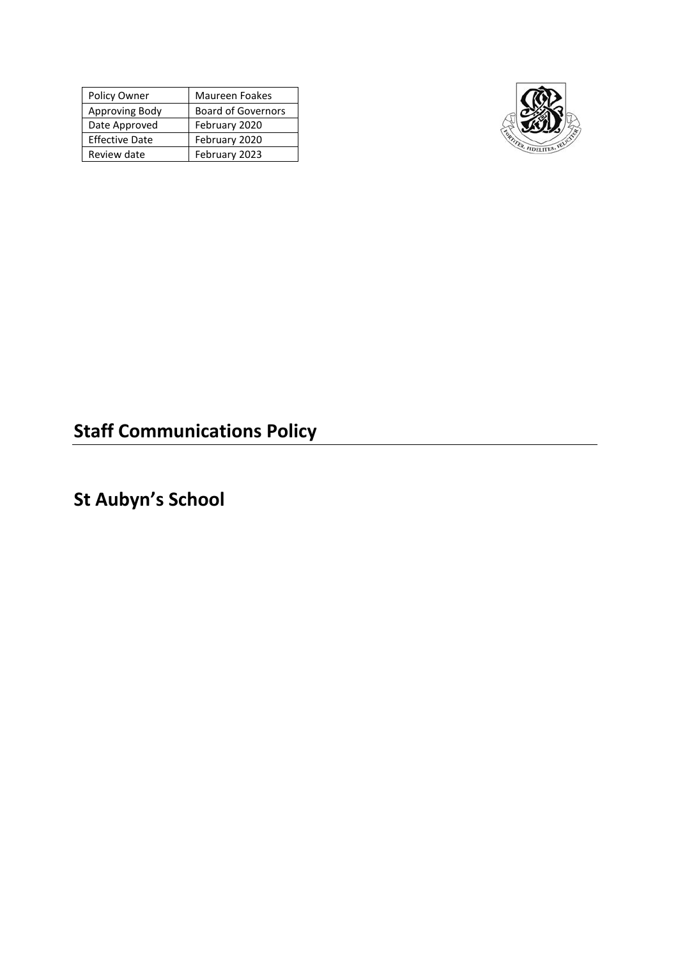| Policy Owner          | <b>Maureen Foakes</b>     |
|-----------------------|---------------------------|
| Approving Body        | <b>Board of Governors</b> |
| Date Approved         | February 2020             |
| <b>Effective Date</b> | February 2020             |
| Review date           | February 2023             |



## **Staff Communications Policy**

## **St Aubyn's School**